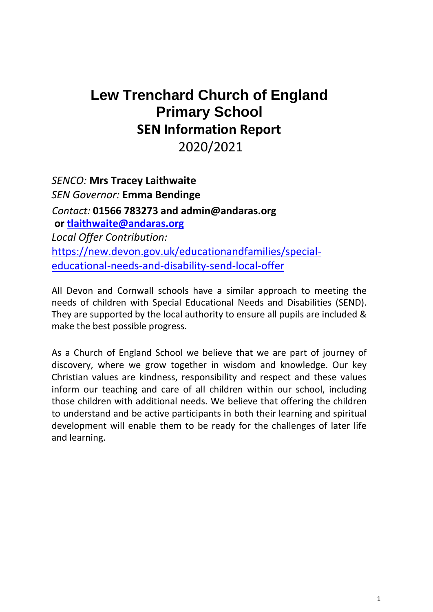# **Lew Trenchard Church of England Primary School SEN Information Report** 2020/2021

*SENCO:* **Mrs Tracey Laithwaite** *SEN Governor:* **Emma Bendinge** *Contact:* **01566 783273 and [admin@andaras.org](mailto:admin@andaras.org) or [tlaithwaite@andaras.org](mailto:tlaithwaite@andaras.org)** *Local Offer Contribution:* [https://new.devon.gov.uk/educationandfamilies/special](https://new.devon.gov.uk/educationandfamilies/special-educational-needs-and-disability-send-local-offer)[educational-needs-and-disability-send-local-offer](https://new.devon.gov.uk/educationandfamilies/special-educational-needs-and-disability-send-local-offer)

All Devon and Cornwall schools have a similar approach to meeting the needs of children with Special Educational Needs and Disabilities (SEND). They are supported by the local authority to ensure all pupils are included & make the best possible progress.

As a Church of England School we believe that we are part of journey of discovery, where we grow together in wisdom and knowledge. Our key Christian values are kindness, responsibility and respect and these values inform our teaching and care of all children within our school, including those children with additional needs. We believe that offering the children to understand and be active participants in both their learning and spiritual development will enable them to be ready for the challenges of later life and learning.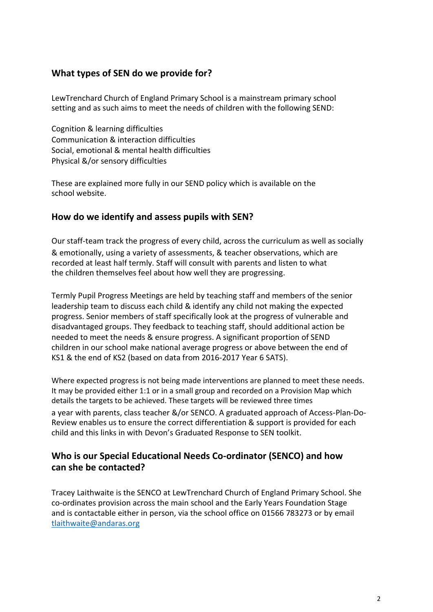### **What types of SEN do we provide for?**

LewTrenchard Church of England Primary School is a mainstream primary school setting and as such aims to meet the needs of children with the following SEND:

Cognition & learning difficulties Communication & interaction difficulties Social, emotional & mental health difficulties Physical &/or sensory difficulties

These are explained more fully in our SEND policy which is available on the school website.

#### **How do we identify and assess pupils with SEN?**

Our staff-team track the progress of every child, across the curriculum as well as socially & emotionally, using a variety of assessments, & teacher observations, which are recorded at least half termly. Staff will consult with parents and listen to what the children themselves feel about how well they are progressing.

Termly Pupil Progress Meetings are held by teaching staff and members of the senior leadership team to discuss each child & identify any child not making the expected progress. Senior members of staff specifically look at the progress of vulnerable and disadvantaged groups. They feedback to teaching staff, should additional action be needed to meet the needs & ensure progress. A significant proportion of SEND children in our school make national average progress or above between the end of KS1 & the end of KS2 (based on data from 2016-2017 Year 6 SATS).

Where expected progress is not being made interventions are planned to meet these needs. It may be provided either 1:1 or in a small group and recorded on a Provision Map which details the targets to be achieved. These targets will be reviewed three times a year with parents, class teacher &/or SENCO. A graduated approach of Access-Plan-Do-Review enables us to ensure the correct differentiation & support is provided for each child and this links in with Devon's Graduated Response to SEN toolkit.

### **Who is our Special Educational Needs Co-ordinator (SENCO) and how can she be contacted?**

Tracey Laithwaite is the SENCO at LewTrenchard Church of England Primary School. She co-ordinates provision across the main school and the Early Years Foundation Stage and is contactable either in person, via the school office on 01566 783273 or by email [tlaithwaite@andaras.org](mailto:tlaithwaite@andaras.org)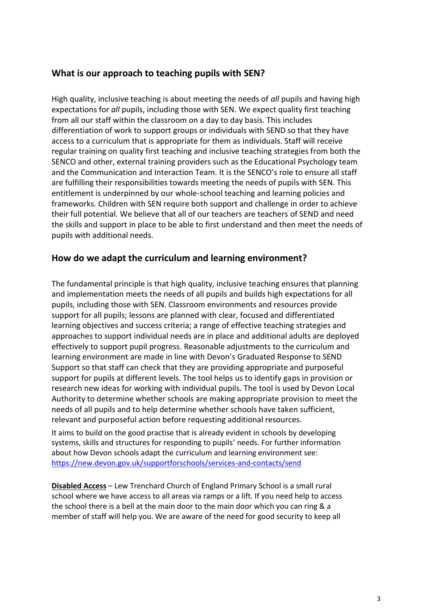### **What is our approach to teaching pupils with SEN?**

High quality, inclusive teaching is about meeting the needs of *all* pupils and having high expectations for *all* pupils, including those with SEN. We expect quality first teaching from all our staff within the classroom on a day to day basis. This includes differentiation of work to support groups or individuals with SEND so that they have access to a curriculum that is appropriate for them as individuals. Staff will receive regular training on quality first teaching and inclusive teaching strategies from both the SENCO and other, external training providers such as the Educational Psychology team and the Communication and Interaction Team. It is the SENCO's role to ensure all staff are fulfilling their responsibilities towards meeting the needs of pupils with SEN. This entitlement is underpinned by our whole-school teaching and learning policies and frameworks. Children with SEN require both support and challenge in order to achieve their full potential. We believe that all of our teachers are teachers of SEND and need the skills and support in place to be able to first understand and then meet the needs of pupils with additional needs.

### **How do we adapt the curriculum and learning environment?**

The fundamental principle is that high quality, inclusive teaching ensures that planning and implementation meets the needs of all pupils and builds high expectations for all pupils, including those with SEN. Classroom environments and resources provide support for all pupils; lessons are planned with clear, focused and differentiated learning objectives and success criteria; a range of effective teaching strategies and approaches to support individual needs are in place and additional adults are deployed effectively to support pupil progress. Reasonable adjustments to the curriculum and learning environment are made in line with Devon's Graduated Response to SEND Support so that staff can check that they are providing appropriate and purposeful support for pupils at different levels. The tool helps us to identify gaps in provision or research new ideas for working with individual pupils. The tool is used by Devon Local Authority to determine whether schools are making appropriate provision to meet the needs of all pupils and to help determine whether schools have taken sufficient, relevant and purposeful action before requesting additional resources.

It aims to build on the good practise that is already evident in schools by developing systems, skills and structures for responding to pupils' needs. For further information about how Devon schools adapt the curriculum and learning environment see: <https://new.devon.gov.uk/supportforschools/services-and-contacts/send>

**Disabled Access** – Lew Trenchard Church of England Primary School is a small rural school where we have access to all areas via ramps or a lift. If you need help to access the school there is a bell at the main door to the main door which you can ring & a member of staff will help you. We are aware of the need for good security to keep all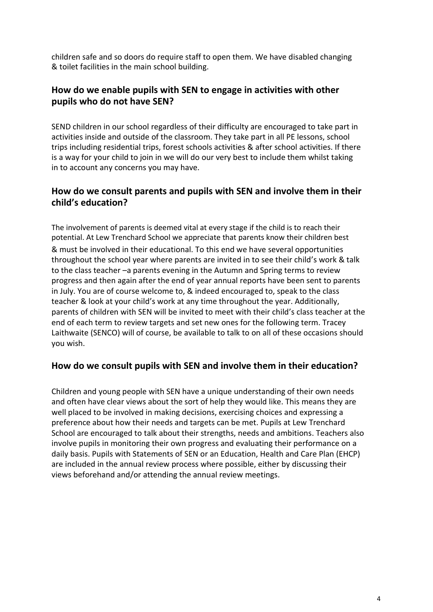children safe and so doors do require staff to open them. We have disabled changing & toilet facilities in the main school building.

### **How do we enable pupils with SEN to engage in activities with other pupils who do not have SEN?**

SEND children in our school regardless of their difficulty are encouraged to take part in activities inside and outside of the classroom. They take part in all PE lessons, school trips including residential trips, forest schools activities & after school activities. If there is a way for your child to join in we will do our very best to include them whilst taking in to account any concerns you may have.

### **How do we consult parents and pupils with SEN and involve them in their child's education?**

The involvement of parents is deemed vital at every stage if the child is to reach their potential. At Lew Trenchard School we appreciate that parents know their children best & must be involved in their educational. To this end we have several opportunities throughout the school year where parents are invited in to see their child's work & talk to the class teacher –a parents evening in the Autumn and Spring terms to review progress and then again after the end of year annual reports have been sent to parents in July. You are of course welcome to, & indeed encouraged to, speak to the class teacher & look at your child's work at any time throughout the year. Additionally, parents of children with SEN will be invited to meet with their child's class teacher at the end of each term to review targets and set new ones for the following term. Tracey Laithwaite (SENCO) will of course, be available to talk to on all of these occasions should

you wish.

### **How do we consult pupils with SEN and involve them in their education?**

Children and young people with SEN have a unique understanding of their own needs and often have clear views about the sort of help they would like. This means they are well placed to be involved in making decisions, exercising choices and expressing a preference about how their needs and targets can be met. Pupils at Lew Trenchard School are encouraged to talk about their strengths, needs and ambitions. Teachers also involve pupils in monitoring their own progress and evaluating their performance on a daily basis. Pupils with Statements of SEN or an Education, Health and Care Plan (EHCP) are included in the annual review process where possible, either by discussing their views beforehand and/or attending the annual review meetings.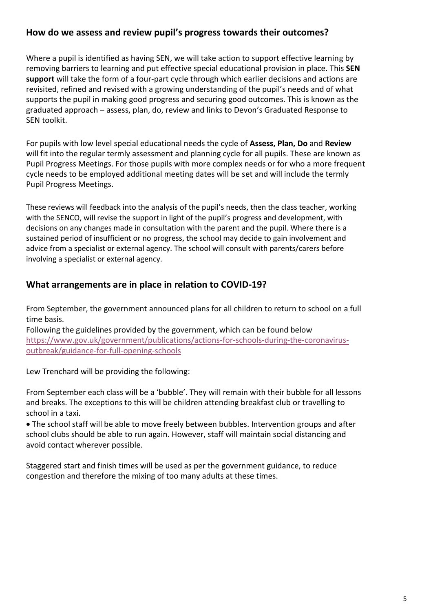### **How do we assess and review pupil's progress towards their outcomes?**

Where a pupil is identified as having SEN, we will take action to support effective learning by removing barriers to learning and put effective special educational provision in place. This **SEN support** will take the form of a four-part cycle through which earlier decisions and actions are revisited, refined and revised with a growing understanding of the pupil's needs and of what supports the pupil in making good progress and securing good outcomes. This is known as the graduated approach – assess, plan, do, review and links to Devon's Graduated Response to SEN toolkit.

For pupils with low level special educational needs the cycle of **Assess, Plan, Do** and **Review**  will fit into the regular termly assessment and planning cycle for all pupils. These are known as Pupil Progress Meetings. For those pupils with more complex needs or for who a more frequent cycle needs to be employed additional meeting dates will be set and will include the termly Pupil Progress Meetings.

These reviews will feedback into the analysis of the pupil's needs, then the class teacher, working with the SENCO, will revise the support in light of the pupil's progress and development, with decisions on any changes made in consultation with the parent and the pupil. Where there is a sustained period of insufficient or no progress, the school may decide to gain involvement and advice from a specialist or external agency. The school will consult with parents/carers before involving a specialist or external agency.

### **What arrangements are in place in relation to COVID-19?**

From September, the government announced plans for all children to return to school on a full time basis.

Following the guidelines provided by the government, which can be found below [https://www.gov.uk/government/publications/actions-for-schools-during-the-coronavirus](https://www.gov.uk/government/publications/actions-for-schools-during-the-coronavirus-outbreak/guidance-for-full-opening-schools)[outbreak/guidance-for-full-opening-schools](https://www.gov.uk/government/publications/actions-for-schools-during-the-coronavirus-outbreak/guidance-for-full-opening-schools)

Lew Trenchard will be providing the following:

From September each class will be a 'bubble'. They will remain with their bubble for all lessons and breaks. The exceptions to this will be children attending breakfast club or travelling to school in a taxi.

• The school staff will be able to move freely between bubbles. Intervention groups and after school clubs should be able to run again. However, staff will maintain social distancing and avoid contact wherever possible.

Staggered start and finish times will be used as per the government guidance, to reduce congestion and therefore the mixing of too many adults at these times.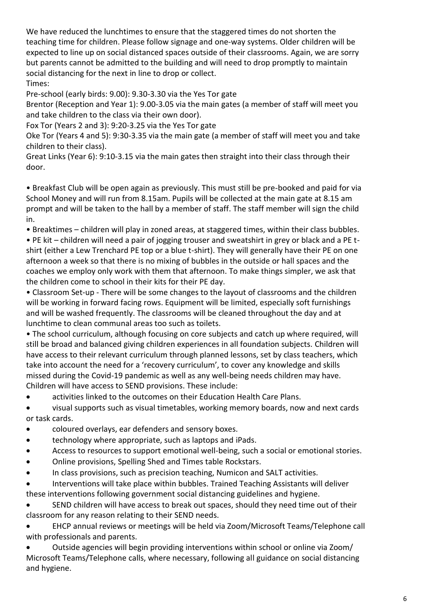We have reduced the lunchtimes to ensure that the staggered times do not shorten the teaching time for children. Please follow signage and one-way systems. Older children will be expected to line up on social distanced spaces outside of their classrooms. Again, we are sorry but parents cannot be admitted to the building and will need to drop promptly to maintain social distancing for the next in line to drop or collect. Times:

Pre-school (early birds: 9.00): 9.30-3.30 via the Yes Tor gate

Brentor (Reception and Year 1): 9.00-3.05 via the main gates (a member of staff will meet you and take children to the class via their own door).

Fox Tor (Years 2 and 3): 9:20-3.25 via the Yes Tor gate

Oke Tor (Years 4 and 5): 9:30-3.35 via the main gate (a member of staff will meet you and take children to their class).

Great Links (Year 6): 9:10-3.15 via the main gates then straight into their class through their door.

• Breakfast Club will be open again as previously. This must still be pre-booked and paid for via School Money and will run from 8.15am. Pupils will be collected at the main gate at 8.15 am prompt and will be taken to the hall by a member of staff. The staff member will sign the child in.

• Breaktimes – children will play in zoned areas, at staggered times, within their class bubbles.

• PE kit – children will need a pair of jogging trouser and sweatshirt in grey or black and a PE tshirt (either a Lew Trenchard PE top or a blue t-shirt). They will generally have their PE on one afternoon a week so that there is no mixing of bubbles in the outside or hall spaces and the coaches we employ only work with them that afternoon. To make things simpler, we ask that the children come to school in their kits for their PE day.

• Classroom Set-up - There will be some changes to the layout of classrooms and the children will be working in forward facing rows. Equipment will be limited, especially soft furnishings and will be washed frequently. The classrooms will be cleaned throughout the day and at lunchtime to clean communal areas too such as toilets.

• The school curriculum, although focusing on core subjects and catch up where required, will still be broad and balanced giving children experiences in all foundation subjects. Children will have access to their relevant curriculum through planned lessons, set by class teachers, which take into account the need for a 'recovery curriculum', to cover any knowledge and skills missed during the Covid-19 pandemic as well as any well-being needs children may have. Children will have access to SEND provisions. These include:

• activities linked to the outcomes on their Education Health Care Plans.

• visual supports such as visual timetables, working memory boards, now and next cards or task cards.

- coloured overlays, ear defenders and sensory boxes.
- technology where appropriate, such as laptops and iPads.
- Access to resources to support emotional well-being, such a social or emotional stories.
- Online provisions, Spelling Shed and Times table Rockstars.
- In class provisions, such as precision teaching, Numicon and SALT activities.

• Interventions will take place within bubbles. Trained Teaching Assistants will deliver these interventions following government social distancing guidelines and hygiene.

• SEND children will have access to break out spaces, should they need time out of their classroom for any reason relating to their SEND needs.

• EHCP annual reviews or meetings will be held via Zoom/Microsoft Teams/Telephone call with professionals and parents.

• Outside agencies will begin providing interventions within school or online via Zoom/ Microsoft Teams/Telephone calls, where necessary, following all guidance on social distancing and hygiene.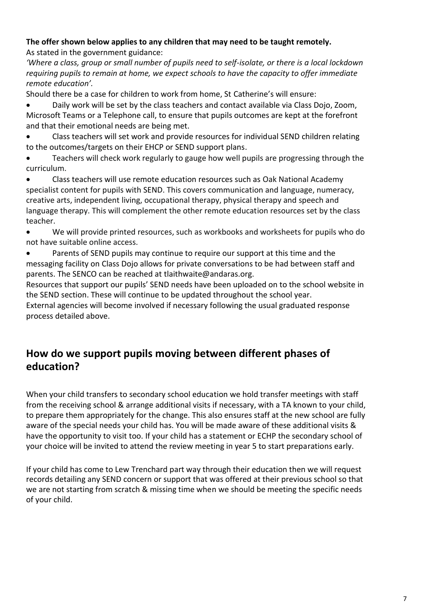#### **The offer shown below applies to any children that may need to be taught remotely.**  As stated in the government guidance:

*'Where a class, group or small number of pupils need to self-isolate, or there is a local lockdown requiring pupils to remain at home, we expect schools to have the capacity to offer immediate remote education'.*

Should there be a case for children to work from home, St Catherine's will ensure:

• Daily work will be set by the class teachers and contact available via Class Dojo, Zoom, Microsoft Teams or a Telephone call, to ensure that pupils outcomes are kept at the forefront and that their emotional needs are being met.

• Class teachers will set work and provide resources for individual SEND children relating to the outcomes/targets on their EHCP or SEND support plans.

• Teachers will check work regularly to gauge how well pupils are progressing through the curriculum.

• Class teachers will use remote education resources such as Oak National Academy specialist content for pupils with SEND. This covers communication and language, numeracy, creative arts, independent living, occupational therapy, physical therapy and speech and language therapy. This will complement the other remote education resources set by the class teacher.

• We will provide printed resources, such as workbooks and worksheets for pupils who do not have suitable online access.

Parents of SEND pupils may continue to require our support at this time and the messaging facility on Class Dojo allows for private conversations to be had between staff and parents. The SENCO can be reached at tlaithwaite@andaras.org.

Resources that support our pupils' SEND needs have been uploaded on to the school website in the SEND section. These will continue to be updated throughout the school year.

External agencies will become involved if necessary following the usual graduated response process detailed above.

# **How do we support pupils moving between different phases of education?**

When your child transfers to secondary school education we hold transfer meetings with staff from the receiving school & arrange additional visits if necessary, with a TA known to your child, to prepare them appropriately for the change. This also ensures staff at the new school are fully aware of the special needs your child has. You will be made aware of these additional visits & have the opportunity to visit too. If your child has a statement or ECHP the secondary school of your choice will be invited to attend the review meeting in year 5 to start preparations early.

If your child has come to Lew Trenchard part way through their education then we will request records detailing any SEND concern or support that was offered at their previous school so that we are not starting from scratch & missing time when we should be meeting the specific needs of your child.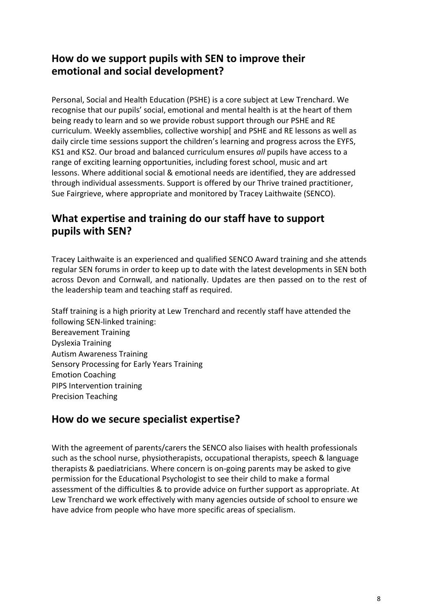# **How do we support pupils with SEN to improve their emotional and social development?**

Personal, Social and Health Education (PSHE) is a core subject at Lew Trenchard. We recognise that our pupils' social, emotional and mental health is at the heart of them being ready to learn and so we provide robust support through our PSHE and RE curriculum. Weekly assemblies, collective worship[ and PSHE and RE lessons as well as daily circle time sessions support the children's learning and progress across the EYFS, KS1 and KS2. Our broad and balanced curriculum ensures *all* pupils have access to a range of exciting learning opportunities, including forest school, music and art lessons. Where additional social & emotional needs are identified, they are addressed through individual assessments. Support is offered by our Thrive trained practitioner, Sue Fairgrieve, where appropriate and monitored by Tracey Laithwaite (SENCO).

# **What expertise and training do our staff have to support pupils with SEN?**

Tracey Laithwaite is an experienced and qualified SENCO Award training and she attends regular SEN forums in order to keep up to date with the latest developments in SEN both across Devon and Cornwall, and nationally. Updates are then passed on to the rest of the leadership team and teaching staff as required.

Staff training is a high priority at Lew Trenchard and recently staff have attended the following SEN-linked training: Bereavement Training Dyslexia Training Autism Awareness Training Sensory Processing for Early Years Training Emotion Coaching PIPS Intervention training Precision Teaching

# **How do we secure specialist expertise?**

With the agreement of parents/carers the SENCO also liaises with health professionals such as the school nurse, physiotherapists, occupational therapists, speech & language therapists & paediatricians. Where concern is on-going parents may be asked to give permission for the Educational Psychologist to see their child to make a formal assessment of the difficulties & to provide advice on further support as appropriate. At Lew Trenchard we work effectively with many agencies outside of school to ensure we have advice from people who have more specific areas of specialism.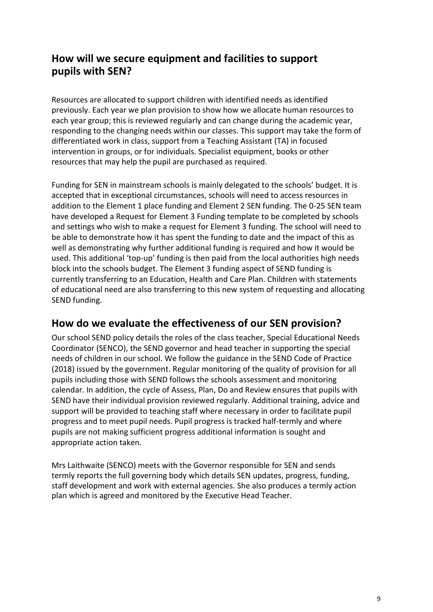# **How will we secure equipment and facilities to support pupils with SEN?**

Resources are allocated to support children with identified needs as identified previously. Each year we plan provision to show how we allocate human resources to each year group; this is reviewed regularly and can change during the academic year, responding to the changing needs within our classes. This support may take the form of differentiated work in class, support from a Teaching Assistant (TA) in focused intervention in groups, or for individuals. Specialist equipment, books or other resources that may help the pupil are purchased as required.

Funding for SEN in mainstream schools is mainly delegated to the schools' budget. It is accepted that in exceptional circumstances, schools will need to access resources in addition to the Element 1 place funding and Element 2 SEN funding. The 0-25 SEN team have developed a Request for Element 3 Funding template to be completed by schools and settings who wish to make a request for Element 3 funding. The school will need to be able to demonstrate how it has spent the funding to date and the impact of this as well as demonstrating why further additional funding is required and how it would be used. This additional 'top-up' funding is then paid from the local authorities high needs block into the schools budget. The Element 3 funding aspect of SEND funding is currently transferring to an Education, Health and Care Plan. Children with statements of educational need are also transferring to this new system of requesting and allocating SEND funding.

# **How do we evaluate the effectiveness of our SEN provision?**

Our school SEND policy details the roles of the class teacher, Special Educational Needs Coordinator (SENCO), the SEND governor and head teacher in supporting the special needs of children in our school. We follow the guidance in the SEND Code of Practice (2018) issued by the government. Regular monitoring of the quality of provision for all pupils including those with SEND follows the schools assessment and monitoring calendar. In addition, the cycle of Assess, Plan, Do and Review ensures that pupils with SEND have their individual provision reviewed regularly. Additional training, advice and support will be provided to teaching staff where necessary in order to facilitate pupil progress and to meet pupil needs. Pupil progress is tracked half-termly and where pupils are not making sufficient progress additional information is sought and appropriate action taken.

Mrs Laithwaite (SENCO) meets with the Governor responsible for SEN and sends termly reports the full governing body which details SEN updates, progress, funding, staff development and work with external agencies. She also produces a termly action plan which is agreed and monitored by the Executive Head Teacher.